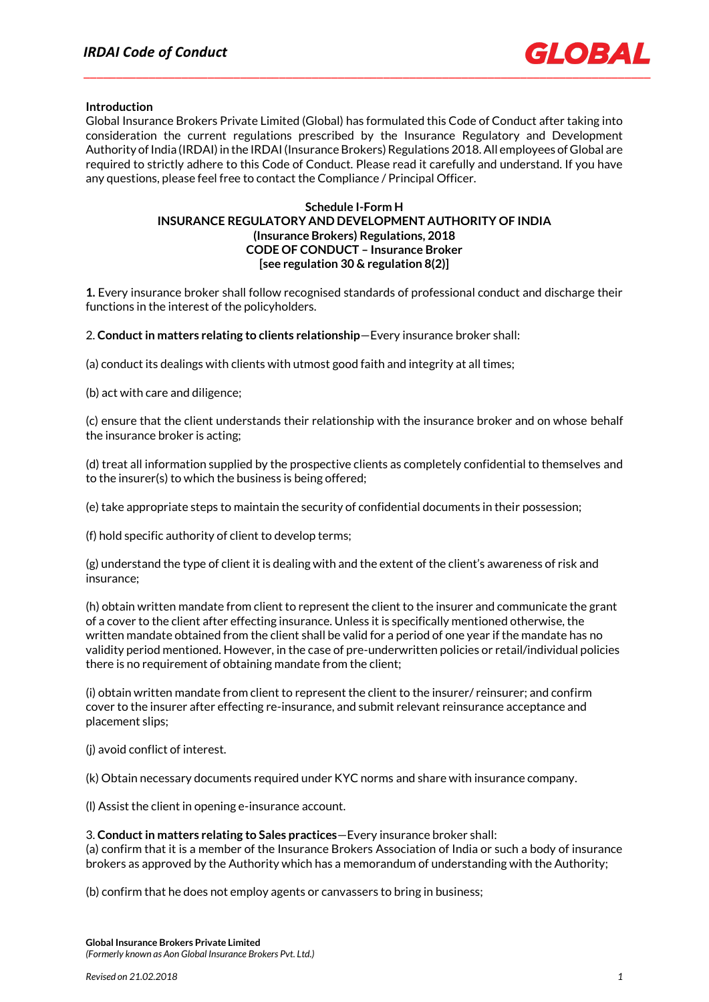

# **Introduction**

Global Insurance Brokers Private Limited (Global) has formulated this Code of Conduct after taking into consideration the current regulations prescribed by the Insurance Regulatory and Development Authority of India (IRDAI) in the IRDAI (Insurance Brokers) Regulations 2018. All employees of Global are required to strictly adhere to this Code of Conduct. Please read it carefully and understand. If you have any questions, please feel free to contact the Compliance / Principal Officer.

# **Schedule I-Form H INSURANCE REGULATORY AND DEVELOPMENT AUTHORITY OF INDIA (Insurance Brokers) Regulations, 2018 CODE OF CONDUCT – Insurance Broker [see regulation 30 & regulation 8(2)]**

**1.** Every insurance broker shall follow recognised standards of professional conduct and discharge their functions in the interest of the policyholders.

2. **Conduct in matters relating to clients relationship**—Every insurance broker shall:

(a) conduct its dealings with clients with utmost good faith and integrity at all times;

(b) act with care and diligence;

(c) ensure that the client understands their relationship with the insurance broker and on whose behalf the insurance broker is acting;

(d) treat all information supplied by the prospective clients as completely confidential to themselves and to the insurer(s) to which the business is being offered;

(e) take appropriate steps to maintain the security of confidential documents in their possession;

(f) hold specific authority of client to develop terms;

(g) understand the type of client it is dealing with and the extent of the client's awareness of risk and insurance;

(h) obtain written mandate from client to represent the client to the insurer and communicate the grant of a cover to the client after effecting insurance. Unless it is specifically mentioned otherwise, the written mandate obtained from the client shall be valid for a period of one year if the mandate has no validity period mentioned. However, in the case of pre-underwritten policies or retail/individual policies there is no requirement of obtaining mandate from the client;

(i) obtain written mandate from client to represent the client to the insurer/ reinsurer; and confirm cover to the insurer after effecting re-insurance, and submit relevant reinsurance acceptance and placement slips;

(j) avoid conflict of interest.

(k) Obtain necessary documents required under KYC norms and share with insurance company.

(l) Assist the client in opening e-insurance account.

# 3. **Conduct in matters relating to Sales practices**—Every insurance broker shall:

(a) confirm that it is a member of the Insurance Brokers Association of India or such a body of insurance brokers as approved by the Authority which has a memorandum of understanding with the Authority;

(b) confirm that he does not employ agents or canvassers to bring in business;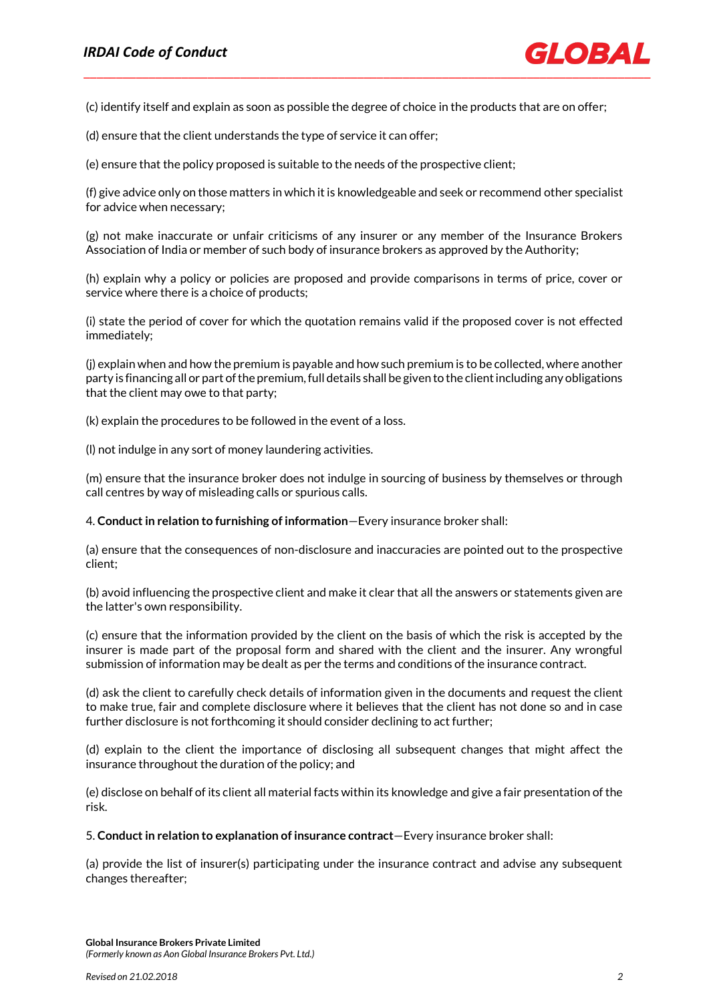(c) identify itself and explain as soon as possible the degree of choice in the products that are on offer;

(d) ensure that the client understands the type of service it can offer;

(e) ensure that the policy proposed is suitable to the needs of the prospective client;

(f) give advice only on those matters in which it is knowledgeable and seek or recommend other specialist for advice when necessary;

(g) not make inaccurate or unfair criticisms of any insurer or any member of the Insurance Brokers Association of India or member of such body of insurance brokers as approved by the Authority;

(h) explain why a policy or policies are proposed and provide comparisons in terms of price, cover or service where there is a choice of products;

(i) state the period of cover for which the quotation remains valid if the proposed cover is not effected immediately;

(j) explain when and how the premium is payable and how such premium is to be collected, where another party is financing all or part of the premium, full details shall be given to the client including any obligations that the client may owe to that party;

(k) explain the procedures to be followed in the event of a loss.

(l) not indulge in any sort of money laundering activities.

(m) ensure that the insurance broker does not indulge in sourcing of business by themselves or through call centres by way of misleading calls or spurious calls.

4. **Conduct in relation to furnishing of information**—Every insurance broker shall:

(a) ensure that the consequences of non-disclosure and inaccuracies are pointed out to the prospective client;

(b) avoid influencing the prospective client and make it clear that all the answers or statements given are the latter's own responsibility.

(c) ensure that the information provided by the client on the basis of which the risk is accepted by the insurer is made part of the proposal form and shared with the client and the insurer. Any wrongful submission of information may be dealt as per the terms and conditions of the insurance contract.

(d) ask the client to carefully check details of information given in the documents and request the client to make true, fair and complete disclosure where it believes that the client has not done so and in case further disclosure is not forthcoming it should consider declining to act further;

(d) explain to the client the importance of disclosing all subsequent changes that might affect the insurance throughout the duration of the policy; and

(e) disclose on behalf of its client all material facts within its knowledge and give a fair presentation of the risk.

5. **Conduct in relation to explanation of insurance contract**—Every insurance broker shall:

(a) provide the list of insurer(s) participating under the insurance contract and advise any subsequent changes thereafter;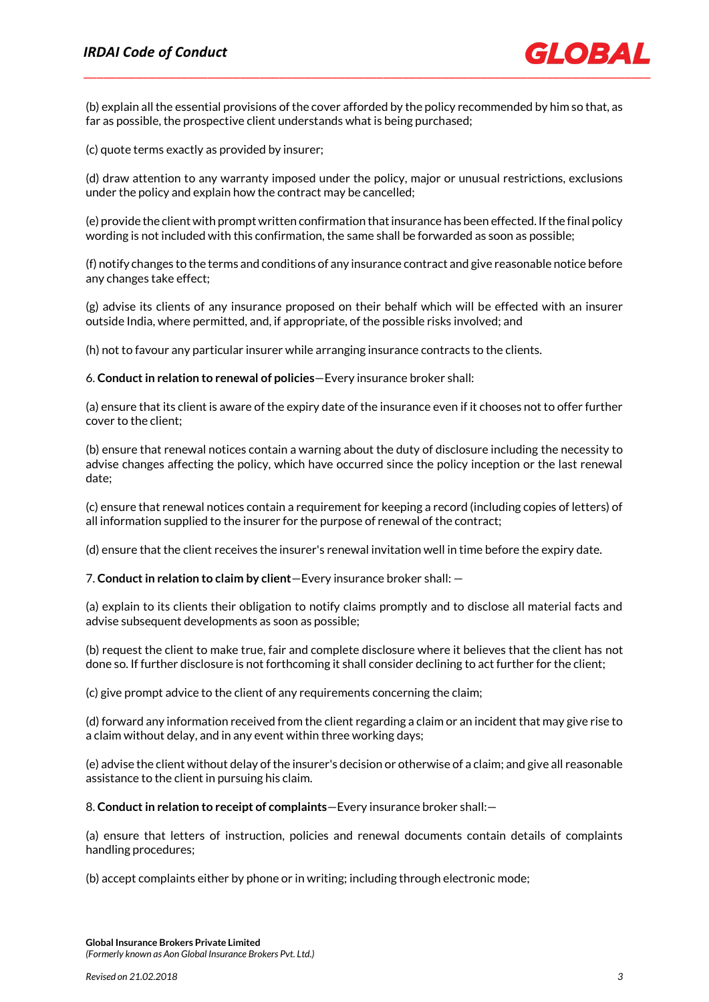(b) explain all the essential provisions of the cover afforded by the policy recommended by him so that, as far as possible, the prospective client understands what is being purchased;

(c) quote terms exactly as provided by insurer;

(d) draw attention to any warranty imposed under the policy, major or unusual restrictions, exclusions under the policy and explain how the contract may be cancelled;

(e) provide the client with prompt written confirmation that insurance has been effected. If the final policy wording is not included with this confirmation, the same shall be forwarded as soon as possible;

(f) notify changes to the terms and conditions of any insurance contract and give reasonable notice before any changes take effect;

(g) advise its clients of any insurance proposed on their behalf which will be effected with an insurer outside India, where permitted, and, if appropriate, of the possible risks involved; and

(h) not to favour any particular insurer while arranging insurance contracts to the clients.

6. **Conduct in relation to renewal of policies**—Every insurance broker shall:

(a) ensure that its client is aware of the expiry date of the insurance even if it chooses not to offer further cover to the client;

(b) ensure that renewal notices contain a warning about the duty of disclosure including the necessity to advise changes affecting the policy, which have occurred since the policy inception or the last renewal date;

(c) ensure that renewal notices contain a requirement for keeping a record (including copies of letters) of all information supplied to the insurer for the purpose of renewal of the contract;

(d) ensure that the client receives the insurer's renewal invitation well in time before the expiry date.

7. **Conduct in relation to claim by client**—Every insurance broker shall: —

(a) explain to its clients their obligation to notify claims promptly and to disclose all material facts and advise subsequent developments as soon as possible;

(b) request the client to make true, fair and complete disclosure where it believes that the client has not done so. If further disclosure is not forthcoming it shall consider declining to act further for the client;

(c) give prompt advice to the client of any requirements concerning the claim;

(d) forward any information received from the client regarding a claim or an incident that may give rise to a claim without delay, and in any event within three working days;

(e) advise the client without delay of the insurer's decision or otherwise of a claim; and give all reasonable assistance to the client in pursuing his claim.

8. **Conduct in relation to receipt of complaints**—Every insurance broker shall:—

(a) ensure that letters of instruction, policies and renewal documents contain details of complaints handling procedures;

(b) accept complaints either by phone or in writing; including through electronic mode;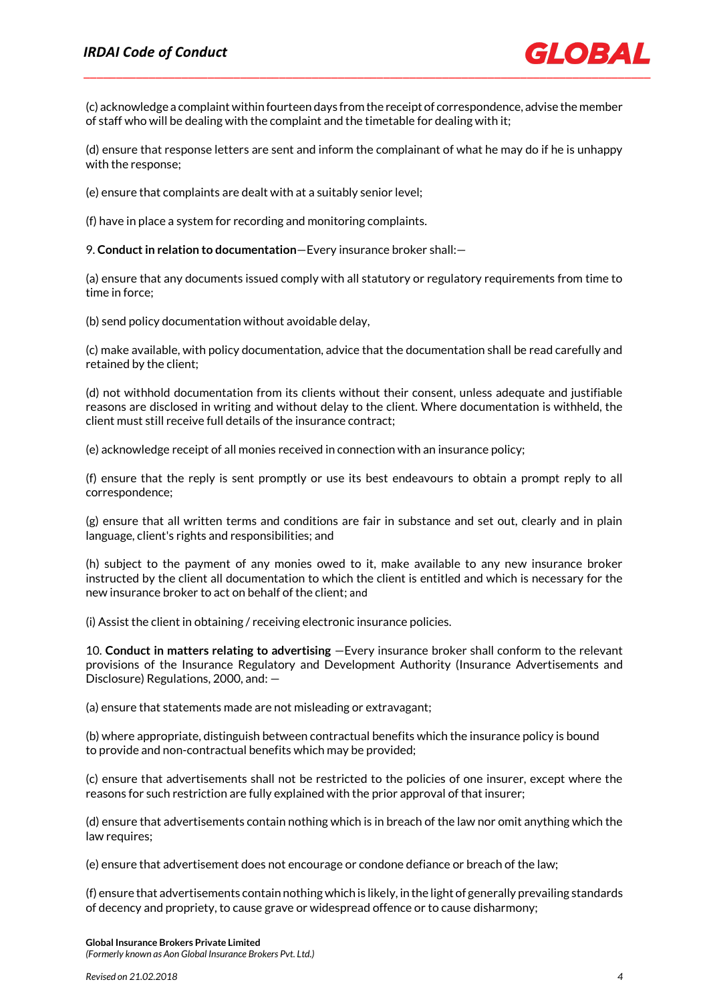(c) acknowledge a complaint within fourteen days from the receipt of correspondence, advise the member of staff who will be dealing with the complaint and the timetable for dealing with it;

(d) ensure that response letters are sent and inform the complainant of what he may do if he is unhappy with the response;

(e) ensure that complaints are dealt with at a suitably senior level;

(f) have in place a system for recording and monitoring complaints.

9. **Conduct in relation to documentation**—Every insurance broker shall:—

(a) ensure that any documents issued comply with all statutory or regulatory requirements from time to time in force;

(b) send policy documentation without avoidable delay,

(c) make available, with policy documentation, advice that the documentation shall be read carefully and retained by the client;

(d) not withhold documentation from its clients without their consent, unless adequate and justifiable reasons are disclosed in writing and without delay to the client. Where documentation is withheld, the client must still receive full details of the insurance contract;

(e) acknowledge receipt of all monies received in connection with an insurance policy;

(f) ensure that the reply is sent promptly or use its best endeavours to obtain a prompt reply to all correspondence;

(g) ensure that all written terms and conditions are fair in substance and set out, clearly and in plain language, client's rights and responsibilities; and

(h) subject to the payment of any monies owed to it, make available to any new insurance broker instructed by the client all documentation to which the client is entitled and which is necessary for the new insurance broker to act on behalf of the client; and

(i) Assist the client in obtaining / receiving electronic insurance policies.

10. **Conduct in matters relating to advertising** —Every insurance broker shall conform to the relevant provisions of the Insurance Regulatory and Development Authority (Insurance Advertisements and Disclosure) Regulations, 2000, and: —

(a) ensure that statements made are not misleading or extravagant;

(b) where appropriate, distinguish between contractual benefits which the insurance policy is bound to provide and non-contractual benefits which may be provided;

(c) ensure that advertisements shall not be restricted to the policies of one insurer, except where the reasons for such restriction are fully explained with the prior approval of that insurer;

(d) ensure that advertisements contain nothing which is in breach of the law nor omit anything which the law requires;

(e) ensure that advertisement does not encourage or condone defiance or breach of the law;

(f) ensure that advertisements contain nothing which is likely, in the light of generally prevailing standards of decency and propriety, to cause grave or widespread offence or to cause disharmony;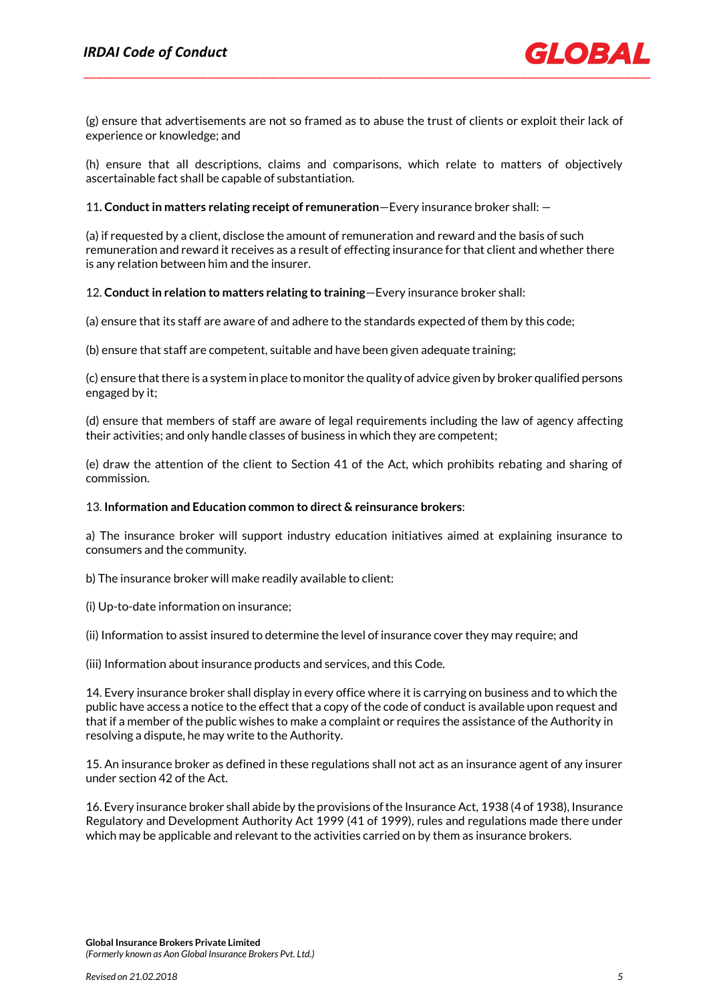

(g) ensure that advertisements are not so framed as to abuse the trust of clients or exploit their lack of experience or knowledge; and

(h) ensure that all descriptions, claims and comparisons, which relate to matters of objectively ascertainable fact shall be capable of substantiation.

# 11**. Conduct in matters relating receipt of remuneration**—Every insurance broker shall: —

(a) if requested by a client, disclose the amount of remuneration and reward and the basis of such remuneration and reward it receives as a result of effecting insurance for that client and whether there is any relation between him and the insurer.

12. **Conduct in relation to matters relating to training**—Every insurance broker shall:

(a) ensure that its staff are aware of and adhere to the standards expected of them by this code;

(b) ensure that staff are competent, suitable and have been given adequate training;

(c) ensure that there is a system in place to monitor the quality of advice given by broker qualified persons engaged by it;

(d) ensure that members of staff are aware of legal requirements including the law of agency affecting their activities; and only handle classes of business in which they are competent;

(e) draw the attention of the client to Section 41 of the Act, which prohibits rebating and sharing of commission.

# 13. **Information and Education common to direct & reinsurance brokers**:

a) The insurance broker will support industry education initiatives aimed at explaining insurance to consumers and the community.

b) The insurance broker will make readily available to client:

(i) Up-to-date information on insurance;

(ii) Information to assist insured to determine the level of insurance cover they may require; and

(iii) Information about insurance products and services, and this Code.

14. Every insurance broker shall display in every office where it is carrying on business and to which the public have access a notice to the effect that a copy of the code of conduct is available upon request and that if a member of the public wishes to make a complaint or requires the assistance of the Authority in resolving a dispute, he may write to the Authority.

15. An insurance broker as defined in these regulations shall not act as an insurance agent of any insurer under section 42 of the Act.

16. Every insurance broker shall abide by the provisions of the Insurance Act, 1938 (4 of 1938), Insurance Regulatory and Development Authority Act 1999 (41 of 1999), rules and regulations made there under which may be applicable and relevant to the activities carried on by them as insurance brokers.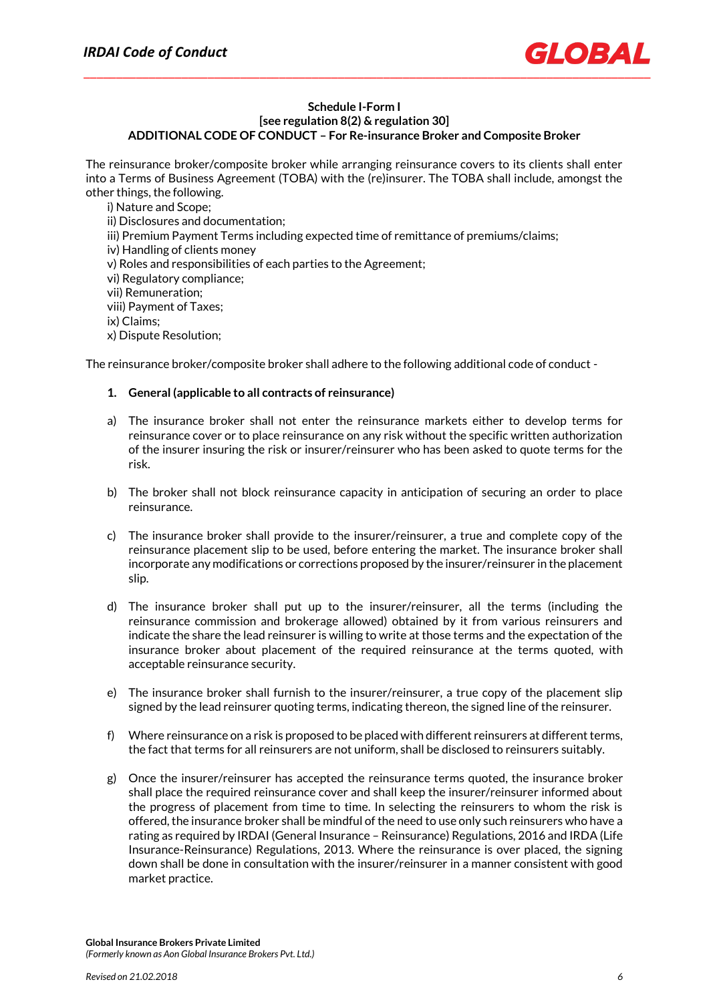

# **Schedule I-Form I [see regulation 8(2) & regulation 30] ADDITIONAL CODE OF CONDUCT – For Re-insurance Broker and Composite Broker**

The reinsurance broker/composite broker while arranging reinsurance covers to its clients shall enter into a Terms of Business Agreement (TOBA) with the (re)insurer. The TOBA shall include, amongst the other things, the following.

i) Nature and Scope; ii) Disclosures and documentation; iii) Premium Payment Terms including expected time of remittance of premiums/claims; iv) Handling of clients money v) Roles and responsibilities of each parties to the Agreement; vi) Regulatory compliance; vii) Remuneration; viii) Payment of Taxes; ix) Claims; x) Dispute Resolution;

The reinsurance broker/composite broker shall adhere to the following additional code of conduct -

# **1. General (applicable to all contracts of reinsurance)**

- a) The insurance broker shall not enter the reinsurance markets either to develop terms for reinsurance cover or to place reinsurance on any risk without the specific written authorization of the insurer insuring the risk or insurer/reinsurer who has been asked to quote terms for the risk.
- b) The broker shall not block reinsurance capacity in anticipation of securing an order to place reinsurance.
- c) The insurance broker shall provide to the insurer/reinsurer, a true and complete copy of the reinsurance placement slip to be used, before entering the market. The insurance broker shall incorporate any modifications or corrections proposed by the insurer/reinsurer in the placement slip.
- d) The insurance broker shall put up to the insurer/reinsurer, all the terms (including the reinsurance commission and brokerage allowed) obtained by it from various reinsurers and indicate the share the lead reinsurer is willing to write at those terms and the expectation of the insurance broker about placement of the required reinsurance at the terms quoted, with acceptable reinsurance security.
- e) The insurance broker shall furnish to the insurer/reinsurer, a true copy of the placement slip signed by the lead reinsurer quoting terms, indicating thereon, the signed line of the reinsurer.
- f) Where reinsurance on a risk is proposed to be placed with different reinsurers at different terms, the fact that terms for all reinsurers are not uniform, shall be disclosed to reinsurers suitably.
- g) Once the insurer/reinsurer has accepted the reinsurance terms quoted, the insurance broker shall place the required reinsurance cover and shall keep the insurer/reinsurer informed about the progress of placement from time to time. In selecting the reinsurers to whom the risk is offered, the insurance broker shall be mindful of the need to use only such reinsurers who have a rating as required by IRDAI (General Insurance – Reinsurance) Regulations, 2016 and IRDA (Life Insurance-Reinsurance) Regulations, 2013. Where the reinsurance is over placed, the signing down shall be done in consultation with the insurer/reinsurer in a manner consistent with good market practice.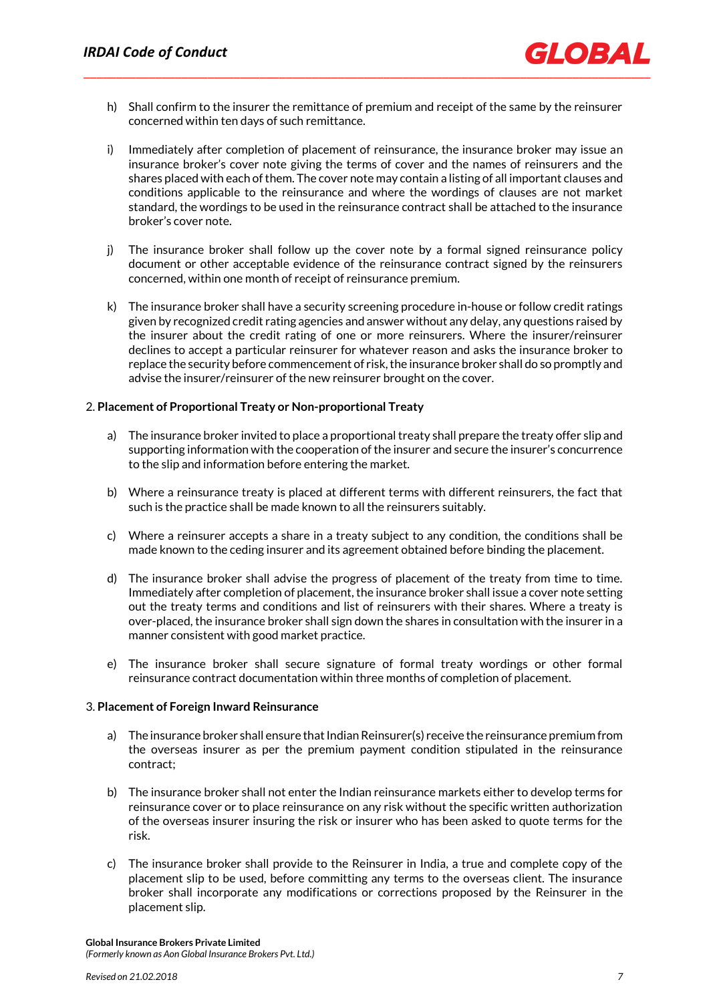- h) Shall confirm to the insurer the remittance of premium and receipt of the same by the reinsurer concerned within ten days of such remittance.
- i) Immediately after completion of placement of reinsurance, the insurance broker may issue an insurance broker's cover note giving the terms of cover and the names of reinsurers and the shares placed with each of them. The cover note may contain a listing of all important clauses and conditions applicable to the reinsurance and where the wordings of clauses are not market standard, the wordings to be used in the reinsurance contract shall be attached to the insurance broker's cover note.
- j) The insurance broker shall follow up the cover note by a formal signed reinsurance policy document or other acceptable evidence of the reinsurance contract signed by the reinsurers concerned, within one month of receipt of reinsurance premium.
- k) The insurance broker shall have a security screening procedure in-house or follow credit ratings given by recognized credit rating agencies and answer without any delay, any questions raised by the insurer about the credit rating of one or more reinsurers. Where the insurer/reinsurer declines to accept a particular reinsurer for whatever reason and asks the insurance broker to replace the security before commencement of risk, the insurance broker shall do so promptly and advise the insurer/reinsurer of the new reinsurer brought on the cover.

# 2. **Placement of Proportional Treaty or Non-proportional Treaty**

- a) The insurance broker invited to place a proportional treaty shall prepare the treaty offer slip and supporting information with the cooperation of the insurer and secure the insurer's concurrence to the slip and information before entering the market.
- b) Where a reinsurance treaty is placed at different terms with different reinsurers, the fact that such is the practice shall be made known to all the reinsurers suitably.
- c) Where a reinsurer accepts a share in a treaty subject to any condition, the conditions shall be made known to the ceding insurer and its agreement obtained before binding the placement.
- d) The insurance broker shall advise the progress of placement of the treaty from time to time. Immediately after completion of placement, the insurance broker shall issue a cover note setting out the treaty terms and conditions and list of reinsurers with their shares. Where a treaty is over-placed, the insurance broker shall sign down the shares in consultation with the insurer in a manner consistent with good market practice.
- e) The insurance broker shall secure signature of formal treaty wordings or other formal reinsurance contract documentation within three months of completion of placement.

# 3. **Placement of Foreign Inward Reinsurance**

- a) The insurance broker shall ensure that Indian Reinsurer(s) receive the reinsurance premium from the overseas insurer as per the premium payment condition stipulated in the reinsurance contract;
- b) The insurance broker shall not enter the Indian reinsurance markets either to develop terms for reinsurance cover or to place reinsurance on any risk without the specific written authorization of the overseas insurer insuring the risk or insurer who has been asked to quote terms for the risk.
- c) The insurance broker shall provide to the Reinsurer in India, a true and complete copy of the placement slip to be used, before committing any terms to the overseas client. The insurance broker shall incorporate any modifications or corrections proposed by the Reinsurer in the placement slip.